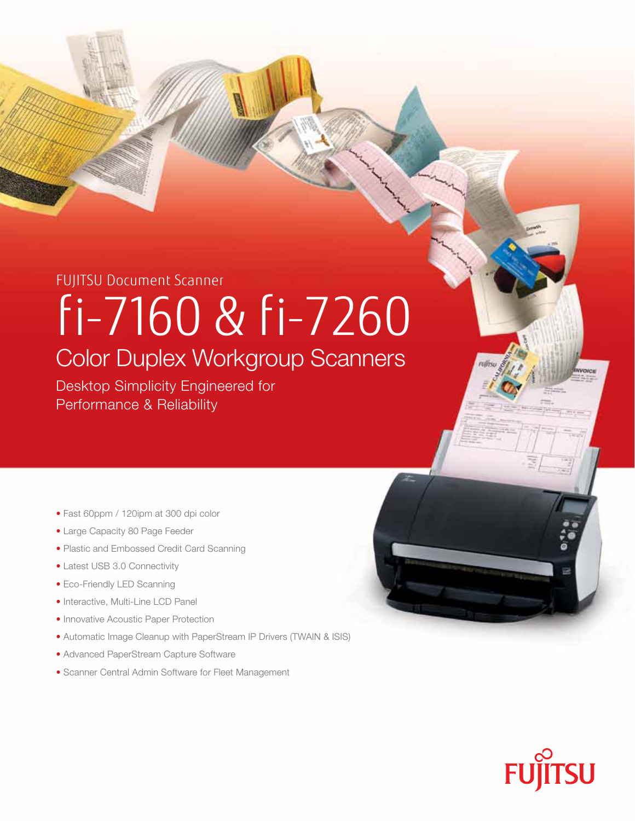## Fujitsu Document Scanner fi-7160 & fi-7260 Color Duplex Workgroup Scanners

Desktop Simplicity Engineered for Performance & Reliability

- Fast 60ppm / 120ipm at 300 dpi color
- Large Capacity 80 Page Feeder
- Plastic and Embossed Credit Card Scanning
- Latest USB 3.0 Connectivity
- Eco-Friendly LED Scanning
- Interactive, Multi-Line LCD Panel
- Innovative Acoustic Paper Protection
- Automatic Image Cleanup with PaperStream IP Drivers (TWAIN & ISIS)
- Advanced PaperStream Capture Software
- Scanner Central Admin Software for Fleet Management